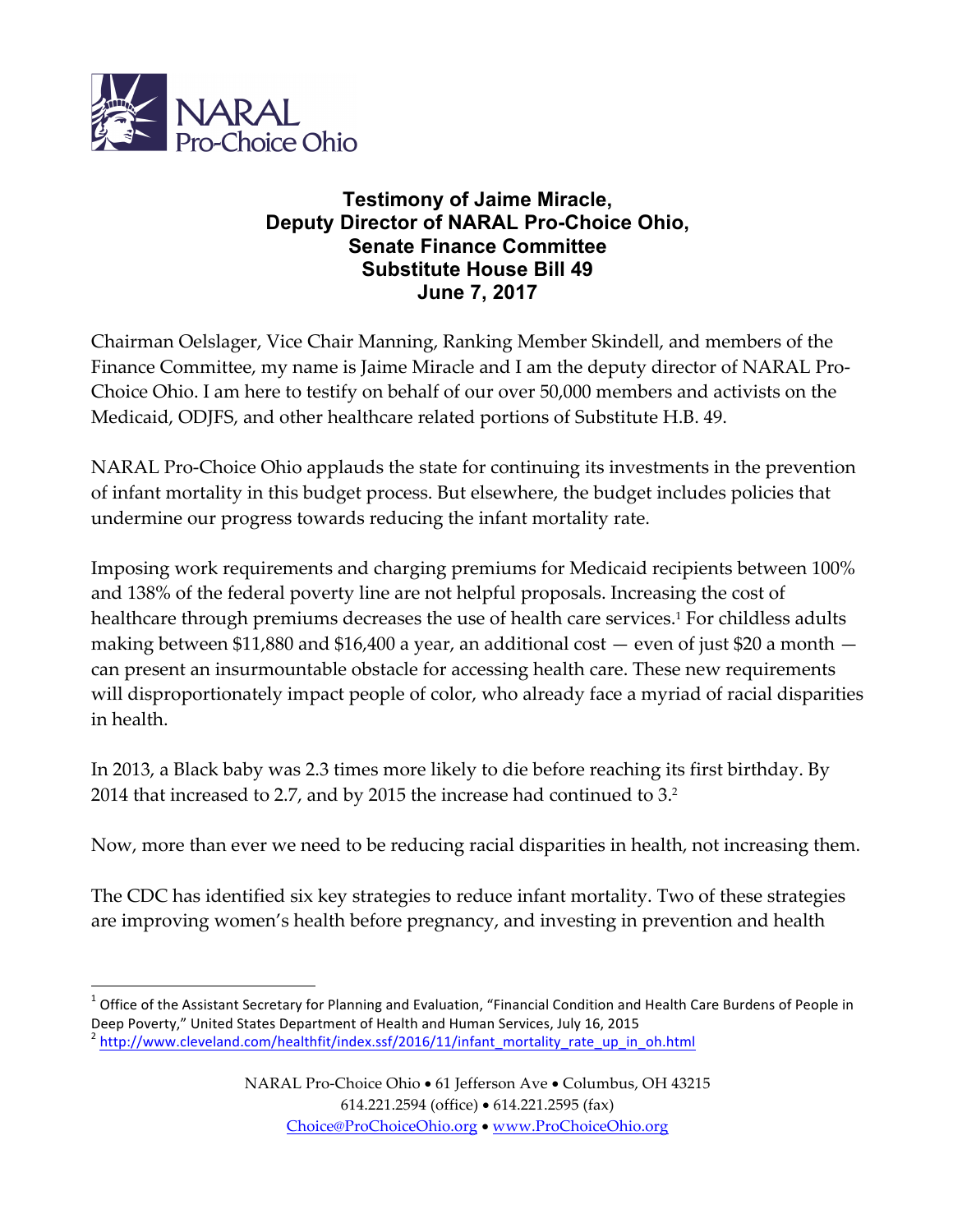

 

## **Testimony of Jaime Miracle, Deputy Director of NARAL Pro-Choice Ohio, Senate Finance Committee Substitute House Bill 49 June 7, 2017**

Chairman Oelslager, Vice Chair Manning, Ranking Member Skindell, and members of the Finance Committee, my name is Jaime Miracle and I am the deputy director of NARAL Pro-Choice Ohio. I am here to testify on behalf of our over 50,000 members and activists on the Medicaid, ODJFS, and other healthcare related portions of Substitute H.B. 49.

NARAL Pro-Choice Ohio applauds the state for continuing its investments in the prevention of infant mortality in this budget process. But elsewhere, the budget includes policies that undermine our progress towards reducing the infant mortality rate.

Imposing work requirements and charging premiums for Medicaid recipients between 100% and 138% of the federal poverty line are not helpful proposals. Increasing the cost of healthcare through premiums decreases the use of health care services. <sup>1</sup> For childless adults making between \$11,880 and \$16,400 a year, an additional cost  $-$  even of just \$20 a month  $$ can present an insurmountable obstacle for accessing health care. These new requirements will disproportionately impact people of color, who already face a myriad of racial disparities in health.

In 2013, a Black baby was 2.3 times more likely to die before reaching its first birthday. By 2014 that increased to 2.7, and by 2015 the increase had continued to 3. 2

Now, more than ever we need to be reducing racial disparities in health, not increasing them.

The CDC has identified six key strategies to reduce infant mortality. Two of these strategies are improving women's health before pregnancy, and investing in prevention and health

 $1$  Office of the Assistant Secretary for Planning and Evaluation, "Financial Condition and Health Care Burdens of People in Deep Poverty," United States Department of Health and Human Services, July 16, 2015 <sup>2</sup> http://ww<u>w.cleveland.com/healthfit/index.ssf/2016/11/infant\_mortality\_rate\_up\_in\_oh.html</u>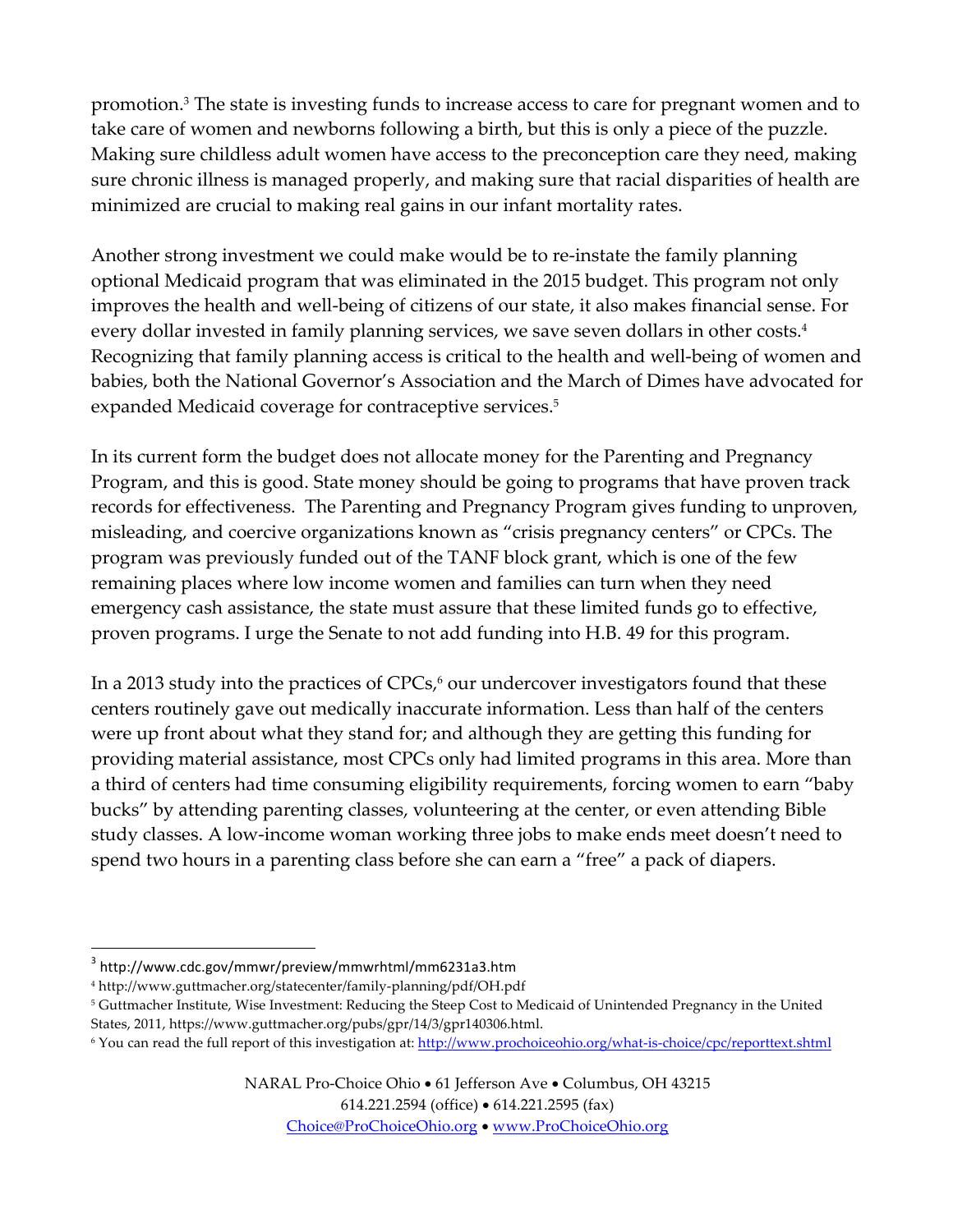promotion. <sup>3</sup> The state is investing funds to increase access to care for pregnant women and to take care of women and newborns following a birth, but this is only a piece of the puzzle. Making sure childless adult women have access to the preconception care they need, making sure chronic illness is managed properly, and making sure that racial disparities of health are minimized are crucial to making real gains in our infant mortality rates.

Another strong investment we could make would be to re-instate the family planning optional Medicaid program that was eliminated in the 2015 budget. This program not only improves the health and well-being of citizens of our state, it also makes financial sense. For every dollar invested in family planning services, we save seven dollars in other costs. 4 Recognizing that family planning access is critical to the health and well-being of women and babies, both the National Governor's Association and the March of Dimes have advocated for expanded Medicaid coverage for contraceptive services. 5

In its current form the budget does not allocate money for the Parenting and Pregnancy Program, and this is good. State money should be going to programs that have proven track records for effectiveness. The Parenting and Pregnancy Program gives funding to unproven, misleading, and coercive organizations known as "crisis pregnancy centers" or CPCs. The program was previously funded out of the TANF block grant, which is one of the few remaining places where low income women and families can turn when they need emergency cash assistance, the state must assure that these limited funds go to effective, proven programs. I urge the Senate to not add funding into H.B. 49 for this program.

In a 2013 study into the practices of CPCs, <sup>6</sup> our undercover investigators found that these centers routinely gave out medically inaccurate information. Less than half of the centers were up front about what they stand for; and although they are getting this funding for providing material assistance, most CPCs only had limited programs in this area. More than a third of centers had time consuming eligibility requirements, forcing women to earn "baby bucks" by attending parenting classes, volunteering at the center, or even attending Bible study classes. A low-income woman working three jobs to make ends meet doesn't need to spend two hours in a parenting class before she can earn a "free" a pack of diapers.

 

614.221.2594 (office) • 614.221.2595 (fax)

Choice@ProChoiceOhio.org • www.ProChoiceOhio.org

<sup>3</sup> http://www.cdc.gov/mmwr/preview/mmwrhtml/mm6231a3.htm

<sup>4</sup> http://www.guttmacher.org/statecenter/family-planning/pdf/OH.pdf

<sup>5</sup> Guttmacher Institute, Wise Investment: Reducing the Steep Cost to Medicaid of Unintended Pregnancy in the United States, 2011, https://www.guttmacher.org/pubs/gpr/14/3/gpr140306.html.

<sup>&</sup>lt;sup>6</sup> You can read the full report of this investigation at: http://www.prochoiceohio.org/what-is-choice/cpc/reporttext.shtml